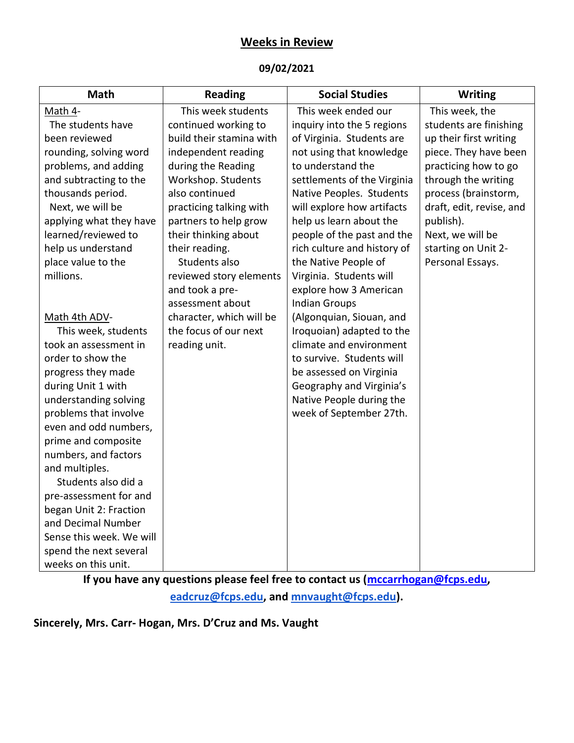## **Weeks in Review**

#### **09/02/2021**

| <b>Math</b>              | <b>Reading</b>           | <b>Social Studies</b>       | <b>Writing</b>           |
|--------------------------|--------------------------|-----------------------------|--------------------------|
| Math 4-                  | This week students       | This week ended our         | This week, the           |
| The students have        | continued working to     | inquiry into the 5 regions  | students are finishing   |
| been reviewed            | build their stamina with | of Virginia. Students are   | up their first writing   |
| rounding, solving word   | independent reading      | not using that knowledge    | piece. They have been    |
| problems, and adding     | during the Reading       | to understand the           | practicing how to go     |
| and subtracting to the   | Workshop. Students       | settlements of the Virginia | through the writing      |
| thousands period.        | also continued           | Native Peoples. Students    | process (brainstorm,     |
| Next, we will be         | practicing talking with  | will explore how artifacts  | draft, edit, revise, and |
| applying what they have  | partners to help grow    | help us learn about the     | publish).                |
| learned/reviewed to      | their thinking about     | people of the past and the  | Next, we will be         |
| help us understand       | their reading.           | rich culture and history of | starting on Unit 2-      |
| place value to the       | Students also            | the Native People of        | Personal Essays.         |
| millions.                | reviewed story elements  | Virginia. Students will     |                          |
|                          | and took a pre-          | explore how 3 American      |                          |
|                          | assessment about         | <b>Indian Groups</b>        |                          |
| Math 4th ADV-            | character, which will be | (Algonquian, Siouan, and    |                          |
| This week, students      | the focus of our next    | Iroquoian) adapted to the   |                          |
| took an assessment in    | reading unit.            | climate and environment     |                          |
| order to show the        |                          | to survive. Students will   |                          |
| progress they made       |                          | be assessed on Virginia     |                          |
| during Unit 1 with       |                          | Geography and Virginia's    |                          |
| understanding solving    |                          | Native People during the    |                          |
| problems that involve    |                          | week of September 27th.     |                          |
| even and odd numbers,    |                          |                             |                          |
| prime and composite      |                          |                             |                          |
| numbers, and factors     |                          |                             |                          |
| and multiples.           |                          |                             |                          |
| Students also did a      |                          |                             |                          |
| pre-assessment for and   |                          |                             |                          |
| began Unit 2: Fraction   |                          |                             |                          |
| and Decimal Number       |                          |                             |                          |
| Sense this week. We will |                          |                             |                          |
| spend the next several   |                          |                             |                          |
| weeks on this unit.      |                          |                             |                          |

**If you have any questions please feel free to contact us [\(mccarrhogan@fcps.edu,](mailto:mccarrhogan@fcps.edu) [eadcruz@fcps.edu,](mailto:eadcruz@fcps.edu) and [mnvaught@fcps.edu\)](mailto:mnvaught@fcps.edu).**

### **Sincerely, Mrs. Carr- Hogan, Mrs. D'Cruz and Ms. Vaught**